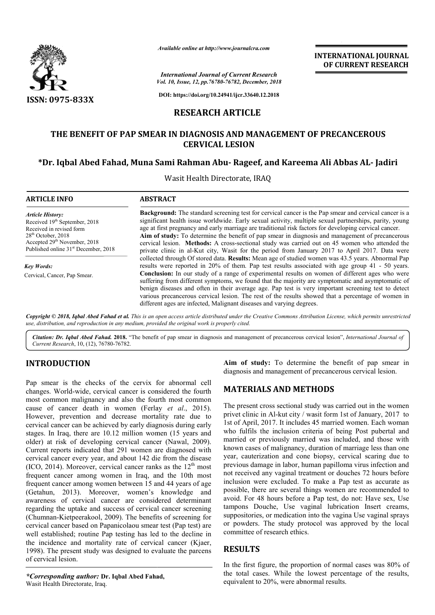

*Available online at http://www.journalcra.com*

**INTERNATIONAL JOURNAL OF CURRENT RESEARCH**

*Vol. 10, Issue, 12, pp.76780-76782, December, 2018 International Journal of Current Research*

**DOI: https://doi.org/10.24941/ijcr.33640.12.2018**

## **RESEARCH ARTICLE**

#### **THE BENEFIT OF PAP SMEAR IN DIAGNOSIS AND MANAGEMENT OF PRECANCEROUS CERVICAL LESION**

# **\*Dr. Iqbal Abed Fahad, Muna Sami Rahman Dr. Abu- Rageef, and Kareema Ali Abbas AL AL- Jadiri**

Wasit Health Directorate, IRAQ

| <b>ARTICLE INFO</b>                                                                                                                                                                                                      | <b>ABSTRACT</b>                                                                                                                                                                                                                                                                                                                                                                                                                                                                                                                                                                                                                                                                                          |  |
|--------------------------------------------------------------------------------------------------------------------------------------------------------------------------------------------------------------------------|----------------------------------------------------------------------------------------------------------------------------------------------------------------------------------------------------------------------------------------------------------------------------------------------------------------------------------------------------------------------------------------------------------------------------------------------------------------------------------------------------------------------------------------------------------------------------------------------------------------------------------------------------------------------------------------------------------|--|
| <b>Article History:</b><br>Received 19 <sup>th</sup> September, 2018<br>Received in revised form<br>$28th$ October, 2018<br>Accepted 29 <sup>th</sup> November, 2018<br>Published online 31 <sup>st</sup> December, 2018 | <b>Background:</b> The standard screening test for cervical cancer is the Pap smear and cervical cancer is a<br>significant health issue worldwide. Early sexual activity, multiple sexual partnerships, parity, young<br>age at first pregnancy and early marriage are traditional risk factors for developing cervical cancer.<br>Aim of study: To determine the benefit of pap smear in diagnosis and management of precancerous<br>cervical lesion. Methods: A cross-sectional study was carried out on 45 women who attended the<br>private clinic in al-Kut city, Wasit for the period from January 2017 to April 2017. Data were                                                                  |  |
| Key Words:<br>Cervical, Cancer, Pap Smear.                                                                                                                                                                               | collected through Of stored data. Results: Mean age of studied women was 43.5 years. Abnormal Pap<br>results were reported in 20% of them. Pap test results associated with age group 41 - 50 years.<br><b>Conclusion:</b> In our study of a range of experimental results on women of different ages who were<br>suffering from different symptoms, we found that the majority are symptomatic and asymptomatic of<br>benign diseases and often in their average age. Pap test is very important screening test to detect<br>various precancerous cervical lesion. The rest of the results showed that a percentage of women in<br>different ages are infected, Malignant diseases and varying degrees. |  |

Copyright © 2018, Iqbal Abed Fahad et al. This is an open access article distributed under the Creative Commons Attribution License, which permits unrestrictea *use, distribution, and reproduction in any medium, provided the original work is properly cited.*

Citation: Dr. Iqbal Abed Fahad. 2018. "The benefit of pap smear in diagnosis and management of precancerous cervical lesion", International Journal of *Current Research*, 10, (12), 76780-76782.

# **INTRODUCTION**

Pap smear is the checks of the cervix for abnormal cell changes. World-wide, cervical cancer is considered the fourth most common malignancy and also the fourth most common cause of cancer death in women (Ferlay *et al.*, 2015). However, prevention and decrease mortality rate due to cervical cancer can be achieved by early diagnosis during early stages. In Iraq, there are 10.12 million women (15 years and However, prevention and decrease mortality rate due to cervical cancer can be achieved by early diagnosis during early stages. In Iraq, there are 10.12 million women (15 years and older) at risk of developing cervical canc Current reports indicated that 291 women are diagnosed with cervical cancer every year, and about 142 die from the disease (ICO, 2014). Moreover, cervical cancer ranks as the  $12<sup>th</sup>$  most frequent cancer among women in Iraq, and the 10th most frequent cancer among women between 15 and 44 years of age (Getahun, 2013). Moreover, women's knowledge and awareness of cervical cancer are considered determinant regarding the uptake and success of cervical cancer screening (Chumnan-Kietpeerakool, 2009). The benefits of screening for cervical cancer based on Papanicolaou smear test (Pap test) are well established; routine Pap testing has led to the decline in cervical cancer based on Papanicolaou smear test (Pap test) are<br>well established; routine Pap testing has led to the decline in<br>the incidence and mortality rate of cervical cancer (Kjaer, 1998). The present study was designed to evaluate the parcens of cervical lesion. wide, cervical cancer is considered the fourth<br>nalignancy and also the fourth most common<br>r death in women (Ferlay *et al.*, 2015).

*\*Corresponding author:* **Dr. Iqbal Abed Fahad,**  Wasit Health Directorate, Iraq.

**Aim of study:** To determine the benefit of pap smear in diagnosis and management of precancerous cervical lesion.

## **MATERIALS AND METHODS METHODS**

The present cross sectional study was carried out in the women privet clinic in Al-kut city / wasit form 1st of January, 2017 to 1st of April, 2017. It includes 45 married women. Each woman who fulfils the inclusion criteria of being Post pubertal and 1st of April, 2017. It includes 45 married women. Each woman<br>who fulfils the inclusion criteria of being Post pubertal and<br>married or previously married was included, and those with known cases of malignancy, duration of marriage less than one year, cauterization and cone biopsy, cervical scaring due to previous damage in labor, human papilloma virus infection and not received any vaginal treatment or douches 72 hours before inclusion were excluded. To make a Pap test as accurate as possible, there are several things women are recommended to not received any vaginal treatment or douches 72 hours before<br>inclusion were excluded. To make a Pap test as accurate as<br>possible, there are several things women are recommended to<br>avoid. For 48 hours before a Pap test, do tampons Douche, Use vaginal lubrication Insert creams, suppositories, or medication into the vagina Use vaginal sprays suppositories, or medication into the vagina Use vaginal sprays<br>or powders. The study protocol was approved by the local committee of research ethics. n cases of malignancy, duration of marriage less than one cauterization and cone biopsy, cervical scaring due to was damage in labor, human papilloma virus infection and

## **RESULTS**

In the first figure, the proportion of normal cases was 80% of In the first figure, the proportion of normal cases was 80% of the total cases. While the lowest percentage of the results, equivalent to 20%, were abnormal results.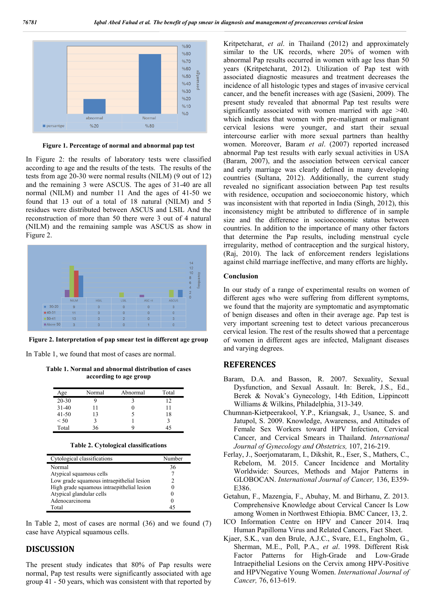

**Figure 1. Percentage of normal and abnormal pap test**

In Figure 2: the results of laboratory tests were classified according to age and the results of the tests. The results of the tests from age 20-30 were normal results (NILM) (9 out of 12) and the remaining 3 were ASCUS. The ages of 31-40 are all normal (NILM) and number 11 And the ages of 41-50 we found that 13 out of a total of 18 natural (NILM) and 5 residues were distributed between ASCUS and LSIL And the reconstruction of more than 50 there were 3 out of 4 natural (NILM) and the remaining sample was ASCUS as show in Figure 2.



**Figure 2. Interpretation of pap smear test in different age group**

In Table 1, we found that most of cases are normal.

**Table 1. Normal and abnormal distribution of cases according to age group** 

| Age       | Normal | Abnormal | Total |
|-----------|--------|----------|-------|
| $20 - 30$ |        |          | 12    |
| $31-40$   |        |          |       |
| $41 - 50$ | 13     |          | 18    |
| < 50      |        |          |       |
| Total     | 36     |          |       |

|  |  | Table 2. Cytological classifications |
|--|--|--------------------------------------|
|--|--|--------------------------------------|

| Cytological classifications                | Number |
|--------------------------------------------|--------|
| Normal                                     | 36     |
| Atypical squamous cells                    |        |
| Low grade squamous intraepithelial lesion  |        |
| High grade squamous intraepithelial lesion |        |
| Atypical glandular cells                   |        |
| Adenocarcinoma                             |        |
| Total                                      |        |

In Table 2, most of cases are normal (36) and we found (7) case have Atypical squamous cells.

#### **DISCUSSION**

The present study indicates that 80% of Pap results were normal, Pap test results were significantly associated with age group 41 - 50 years, which was consistent with that reported by Kritpetcharat, *et al*. in Thailand (2012) and approximately similar to the UK records, where 20% of women with abnormal Pap results occurred in women with age less than 50 years (Kritpetcharat, 2012). Utilization of Pap test with associated diagnostic measures and treatment decreases the incidence of all histologic types and stages of invasive cervical cancer, and the benefit increases with age (Sasieni, 2009). The present study revealed that abnormal Pap test results were significantly associated with women married with age >40. which indicates that women with pre-malignant or malignant cervical lesions were younger, and start their sexual intercourse earlier with more sexual partners than healthy women. Moreover, Baram *et al*. (2007) reported increased abnormal Pap test results with early sexual activities in USA (Baram, 2007), and the association between cervical cancer and early marriage was clearly defined in many developing countries (Sultana, 2012). Additionally, the current study revealed no significant association between Pap test results with residence, occupation and socioeconomic history, which was inconsistent with that reported in India (Singh, 2012), this inconsistency might be attributed to difference of in sample size and the difference in socioeconomic status between countries. In addition to the importance of many other factors that determine the Pap results, including menstrual cycle irregularity, method of contraception and the surgical history, (Raj, 2010). The lack of enforcement renders legislations against child marriage ineffective, and many efforts are highly**.**

#### **Conclusion**

In our study of a range of experimental results on women of different ages who were suffering from different symptoms, we found that the majority are symptomatic and asymptomatic of benign diseases and often in their average age. Pap test is very important screening test to detect various precancerous cervical lesion. The rest of the results showed that a percentage of women in different ages are infected, Malignant diseases and varying degrees.

#### **REFERENCES**

- Baram, D.A. and Basson, R. 2007. Sexuality, Sexual Dysfunction, and Sexual Assault. In: Berek, J.S., Ed., Berek & Novak's Gynecology, 14th Edition, Lippincott Williams & Wilkins, Philadelphia, 313-349.
- Chumnan-Kietpeerakool, Y.P., Kriangsak, J., Usanee, S. and Jatupol, S. 2009. Knowledge, Awareness, and Attitudes of Female Sex Workers toward HPV Infection, Cervical Cancer, and Cervical Smears in Thailand. *International Journal of Gynecology and Obstetrics,* 107, 216-219.
- Ferlay, J., Soerjomataram, I., Dikshit, R., Eser, S., Mathers, C., Rebelom, M. 2015. Cancer Incidence and Mortality Worldwide: Sources, Methods and Major Patterns in GLOBOCAN. *International Journal of Cancer,* 136, E359- E386.
- Getahun, F., Mazengia, F., Abuhay, M. and Birhanu, Z. 2013. Comprehensive Knowledge about Cervical Cancer Is Low among Women in Northwest Ethiopia. BMC Cancer, 13, 2.
- ICO Information Centre on HPV and Cancer 2014. Iraq Human Papilloma Virus and Related Cancers, Fact Sheet.
- Kjaer, S.K., van den Brule, A.J.C., Svare, E.I., Engholm, G., Sherman, M.E., Poll, P.A., *et al*. 1998. Different Risk Factor Patterns for High-Grade and Low-Grade Intraepithelial Lesions on the Cervix among HPV-Positive and HPVNegative Young Women. *International Journal of Cancer,* 76, 613-619.